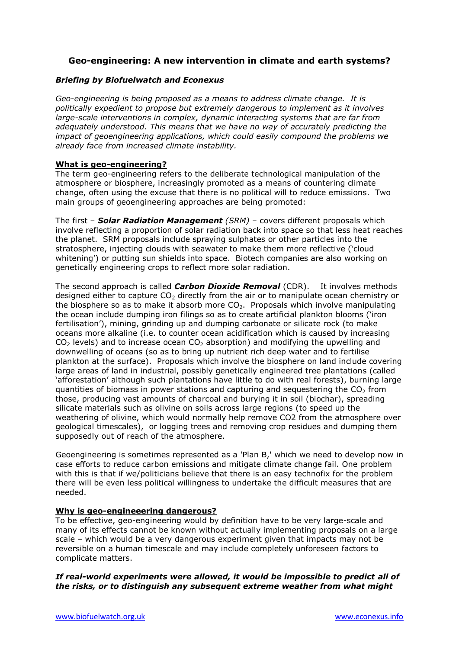# **Geo-engineering: A new intervention in climate and earth systems?**

## *Briefing by Biofuelwatch and Econexus*

*Geo-engineering is being proposed as a means to address climate change. It is politically expedient to propose but extremely dangerous to implement as it involves large-scale interventions in complex, dynamic interacting systems that are far from adequately understood. This means that we have no way of accurately predicting the impact of geoengineering applications, which could easily compound the problems we already face from increased climate instability.*

## **What is geo-engineering?**

The term geo-engineering refers to the deliberate technological manipulation of the atmosphere or biosphere, increasingly promoted as a means of countering climate change, often using the excuse that there is no political will to reduce emissions. Two main groups of geoengineering approaches are being promoted:

The first – *Solar Radiation Management (SRM)* – covers different proposals which involve reflecting a proportion of solar radiation back into space so that less heat reaches the planet. SRM proposals include spraying sulphates or other particles into the stratosphere, injecting clouds with seawater to make them more reflective ('cloud whitening') or putting sun shields into space. Biotech companies are also working on genetically engineering crops to reflect more solar radiation.

The second approach is called *Carbon Dioxide Removal* (CDR). It involves methods designed either to capture  $CO<sub>2</sub>$  directly from the air or to manipulate ocean chemistry or the biosphere so as to make it absorb more  $CO<sub>2</sub>$ . Proposals which involve manipulating the ocean include dumping iron filings so as to create artificial plankton blooms ('iron fertilisation'), mining, grinding up and dumping carbonate or silicate rock (to make oceans more alkaline (i.e. to counter ocean acidification which is caused by increasing  $CO<sub>2</sub>$  levels) and to increase ocean  $CO<sub>2</sub>$  absorption) and modifying the upwelling and downwelling of oceans (so as to bring up nutrient rich deep water and to fertilise plankton at the surface). Proposals which involve the biosphere on land include covering large areas of land in industrial, possibly genetically engineered tree plantations (called 'afforestation' although such plantations have little to do with real forests), burning large quantities of biomass in power stations and capturing and sequestering the  $CO<sub>2</sub>$  from those, producing vast amounts of charcoal and burying it in soil (biochar), spreading silicate materials such as olivine on soils across large regions (to speed up the weathering of olivine, which would normally help remove CO2 from the atmosphere over geological timescales), or logging trees and removing crop residues and dumping them supposedly out of reach of the atmosphere.

Geoengineering is sometimes represented as a 'Plan B,' which we need to develop now in case efforts to reduce carbon emissions and mitigate climate change fail. One problem with this is that if we/politicians believe that there is an easy technofix for the problem there will be even less political willingness to undertake the difficult measures that are needed.

## **Why is geo-engineeering dangerous?**

To be effective, geo-engineering would by definition have to be very large-scale and many of its effects cannot be known without actually implementing proposals on a large scale – which would be a very dangerous experiment given that impacts may not be reversible on a human timescale and may include completely unforeseen factors to complicate matters.

*If real-world experiments were allowed, it would be impossible to predict all of the risks, or to distinguish any subsequent extreme weather from what might*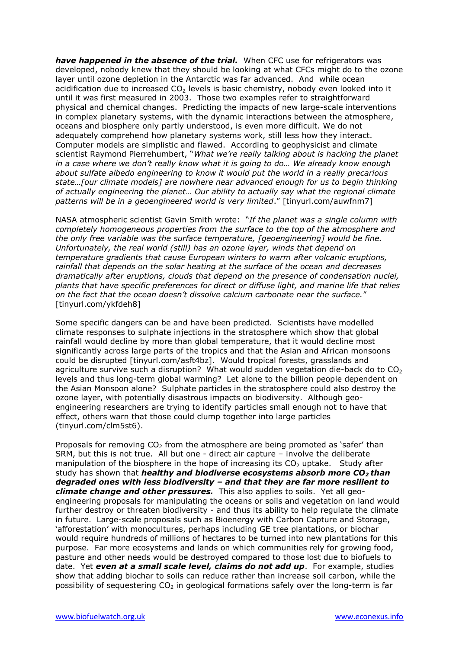*have happened in the absence of the trial.* When CFC use for refrigerators was developed, nobody knew that they should be looking at what CFCs might do to the ozone layer until ozone depletion in the Antarctic was far advanced. And while ocean acidification due to increased  $CO<sub>2</sub>$  levels is basic chemistry, nobody even looked into it until it was first measured in 2003. Those two examples refer to straightforward physical and chemical changes. Predicting the impacts of new large-scale interventions in complex planetary systems, with the dynamic interactions between the atmosphere, oceans and biosphere only partly understood, is even more difficult. We do not adequately comprehend how planetary systems work, still less how they interact. Computer models are simplistic and flawed. According to geophysicist and climate scientist Raymond Pierrehumbert, "*What we're really talking about is hacking the planet in a case where we don't really know what it is going to do… We already know enough about sulfate albedo engineering to know it would put the world in a really precarious state…[our climate models] are nowhere near advanced enough for us to begin thinking of actually engineering the planet… Our ability to actually say what the regional climate patterns will be in a geoengineered world is very limited*." [tinyurl.com/auwfnm7]

NASA atmospheric scientist Gavin Smith wrote: "*If the planet was a single column with completely homogeneous properties from the surface to the top of the atmosphere and the only free variable was the surface temperature, [geoengineering] would be fine. Unfortunately, the real world (still) has an ozone layer, winds that depend on temperature gradients that cause European winters to warm after volcanic eruptions, rainfall that depends on the solar heating at the surface of the ocean and decreases dramatically after eruptions, clouds that depend on the presence of condensation nuclei, plants that have specific preferences for direct or diffuse light, and marine life that relies on the fact that the ocean doesn't dissolve calcium carbonate near the surface.*" [tinyurl.com/ykfdeh8]

Some specific dangers can be and have been predicted. Scientists have modelled climate responses to sulphate injections in the stratosphere which show that global rainfall would decline by more than global temperature, that it would decline most significantly across large parts of the tropics and that the Asian and African monsoons could be disrupted [tinyurl.com/asft4bz]. Would tropical forests, grasslands and agriculture survive such a disruption? What would sudden vegetation die-back do to  $CO<sub>2</sub>$ levels and thus long-term global warming? Let alone to the billion people dependent on the Asian Monsoon alone? Sulphate particles in the stratosphere could also destroy the ozone layer, with potentially disastrous impacts on biodiversity. Although geoengineering researchers are trying to identify particles small enough not to have that effect, others warn that those could clump together into large particles (tinyurl.com/clm5st6).

Proposals for removing  $CO<sub>2</sub>$  from the atmosphere are being promoted as 'safer' than SRM, but this is not true. All but one - direct air capture – involve the deliberate manipulation of the biosphere in the hope of increasing its  $CO<sub>2</sub>$  uptake. Study after study has shown that *healthy and biodiverse ecosystems absorb more CO2 than degraded ones with less biodiversity – and that they are far more resilient to climate change and other pressures.* This also applies to soils. Yet all geoengineering proposals for manipulating the oceans or soils and vegetation on land would further destroy or threaten biodiversity - and thus its ability to help regulate the climate in future. Large-scale proposals such as Bioenergy with Carbon Capture and Storage, 'afforestation' with monocultures, perhaps including GE tree plantations, or biochar would require hundreds of millions of hectares to be turned into new plantations for this purpose. Far more ecosystems and lands on which communities rely for growing food, pasture and other needs would be destroyed compared to those lost due to biofuels to date. Yet *even at a small scale level, claims do not add up*. For example, studies show that adding biochar to soils can reduce rather than increase soil carbon, while the possibility of sequestering  $CO<sub>2</sub>$  in geological formations safely over the long-term is far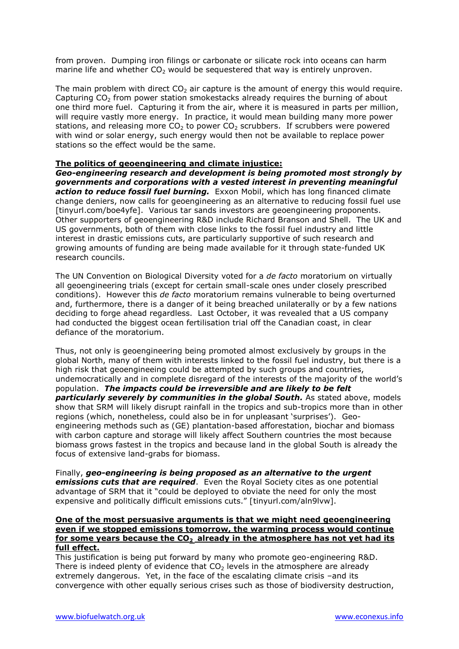from proven. Dumping iron filings or carbonate or silicate rock into oceans can harm marine life and whether  $CO<sub>2</sub>$  would be sequestered that way is entirely unproven.

The main problem with direct  $CO<sub>2</sub>$  air capture is the amount of energy this would require. Capturing CO<sub>2</sub> from power station smokestacks already requires the burning of about one third more fuel. Capturing it from the air, where it is measured in parts per million, will require vastly more energy. In practice, it would mean building many more power stations, and releasing more  $CO<sub>2</sub>$  to power  $CO<sub>2</sub>$  scrubbers. If scrubbers were powered with wind or solar energy, such energy would then not be available to replace power stations so the effect would be the same.

## **The politics of geoengineering and climate injustice:**

*Geo-engineering research and development is being promoted most strongly by governments and corporations with a vested interest in preventing meaningful action to reduce fossil fuel burning.* Exxon Mobil, which has long financed climate change deniers, now calls for geoengineering as an alternative to reducing fossil fuel use [tinyurl.com/boe4yfe]. Various tar sands investors are geoengineering proponents. Other supporters of geoengineering R&D include Richard Branson and Shell. The UK and US governments, both of them with close links to the fossil fuel industry and little interest in drastic emissions cuts, are particularly supportive of such research and growing amounts of funding are being made available for it through state-funded UK research councils.

The UN Convention on Biological Diversity voted for a *de facto* moratorium on virtually all geoengineering trials (except for certain small-scale ones under closely prescribed conditions). However this *de facto* moratorium remains vulnerable to being overturned and, furthermore, there is a danger of it being breached unilaterally or by a few nations deciding to forge ahead regardless. Last October, it was revealed that a US company had conducted the biggest ocean fertilisation trial off the Canadian coast, in clear defiance of the moratorium.

Thus, not only is geoengineering being promoted almost exclusively by groups in the global North, many of them with interests linked to the fossil fuel industry, but there is a high risk that geoengineeing could be attempted by such groups and countries, undemocratically and in complete disregard of the interests of the majority of the world's population. *The impacts could be irreversible and are likely to be felt particularly severely by communities in the global South.* As stated above, models show that SRM will likely disrupt rainfall in the tropics and sub-tropics more than in other regions (which, nonetheless, could also be in for unpleasant 'surprises'). Geoengineering methods such as (GE) plantation-based afforestation, biochar and biomass with carbon capture and storage will likely affect Southern countries the most because biomass grows fastest in the tropics and because land in the global South is already the focus of extensive land-grabs for biomass.

Finally, *geo-engineering is being proposed as an alternative to the urgent emissions cuts that are required*. Even the Royal Society cites as one potential advantage of SRM that it "could be deployed to obviate the need for only the most expensive and politically difficult emissions cuts." [tinyurl.com/aln9lvw].

#### **One of the most persuasive arguments is that we might need geoengineering even if we stopped emissions tomorrow, the warming process would continue for some years because the CO<sup>2</sup> already in the atmosphere has not yet had its full effect.**

This justification is being put forward by many who promote geo-engineering R&D. There is indeed plenty of evidence that  $CO<sub>2</sub>$  levels in the atmosphere are already extremely dangerous. Yet, in the face of the escalating climate crisis –and its convergence with other equally serious crises such as those of biodiversity destruction,